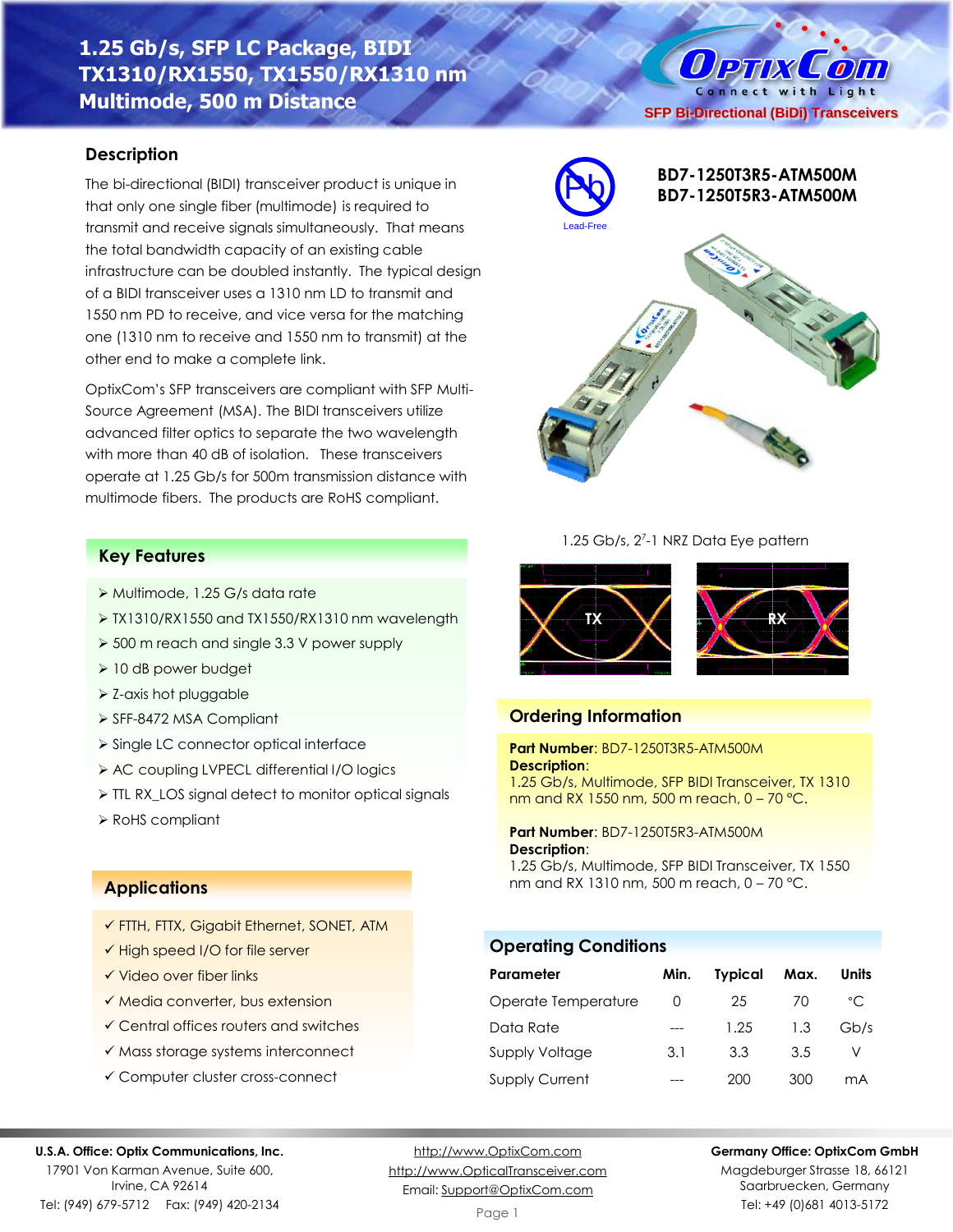# **1.25 Gb/s, SFP LC Package, BIDI TX1310/RX1550, TX1550/RX1310 nm Multimode, 500 m Distance**

## **Description**

The bi-directional (BIDI) transceiver product is unique in that only one single fiber (multimode) is required to transmit and receive signals simultaneously. That means the total bandwidth capacity of an existing cable infrastructure can be doubled instantly. The typical design of a BIDI transceiver uses a 1310 nm LD to transmit and 1550 nm PD to receive, and vice versa for the matching one (1310 nm to receive and 1550 nm to transmit) at the other end to make a complete link.

OptixCom's SFP transceivers are compliant with SFP Multi-Source Agreement (MSA). The BIDI transceivers utilize advanced filter optics to separate the two wavelength with more than 40 dB of isolation. These transceivers operate at 1.25 Gb/s for 500m transmission distance with multimode fibers. The products are RoHS compliant.

### **Key Features**

- ➢ Multimode, 1.25 G/s data rate
- ➢ TX1310/RX1550 and TX1550/RX1310 nm wavelength
- ➢ 500 m reach and single 3.3 V power supply
- ➢ 10 dB power budget
- ➢ Z-axis hot pluggable
- ➢ SFF-8472 MSA Compliant
- ➢ Single LC connector optical interface
- ➢ AC coupling LVPECL differential I/O logics
- ➢ TTL RX\_LOS signal detect to monitor optical signals
- ➢ RoHS compliant

### **Applications**

- ✓ FTTH, FTTX, Gigabit Ethernet, SONET, ATM
- ✓ High speed I/O for file server
- ✓ Video over fiber links
- ✓ Media converter, bus extension
- ✓ Central offices routers and switches
- ✓ Mass storage systems interconnect
- ✓ Computer cluster cross-connect

### **U.S.A. Office: Optix Communications, Inc.**

17901 Von Karman Avenue, Suite 600, Irvine, CA 92614 Tel: (949) 679-5712 Fax: (949) 420-2134

[http://www.OptixCom.com](http://www.optixcom.com/) [http://www.OpticalTransceiver.com](http://www.optoictech.com/) Email: [Support@OptixCom.com](mailto:Support@optoICtech.com)



Magdeburger Strasse 18, 66121 Saarbruecken, Germany Tel: +49 (0)681 4013-5172



1.25 Gb/s, 2<sup>7</sup>-1 NRZ Data Eye pattern



### **Ordering Information**

#### **Part Number**: BD7-1250T3R5-ATM500M **Description**:

1.25 Gb/s, Multimode, SFP BIDI Transceiver, TX 1310 nm and RX 1550 nm, 500 m reach, 0 – 70 °C.

### **Part Number**: BD7-1250T5R3-ATM500M **Description**:

1.25 Gb/s, Multimode, SFP BIDI Transceiver, TX 1550 nm and RX 1310 nm, 500 m reach, 0 – 70 °C.

**Operating Conditions**

| Parameter             | Min.             | <b>Typical</b> | Max. | <b>Units</b> |
|-----------------------|------------------|----------------|------|--------------|
| Operate Temperature   | $\left( \right)$ | 25             | 70   | $^{\circ}$ C |
| Data Rate             |                  | 1.25           | 1.3  | Gb/s         |
| <b>Supply Voltage</b> | 3.1              | 3.3            | 3.5  |              |
| <b>Supply Current</b> |                  | 200            | 300  | mА           |



# Connect with Light **SFP Bi-Directional (BiDi) Transceivers**

O PTIX COM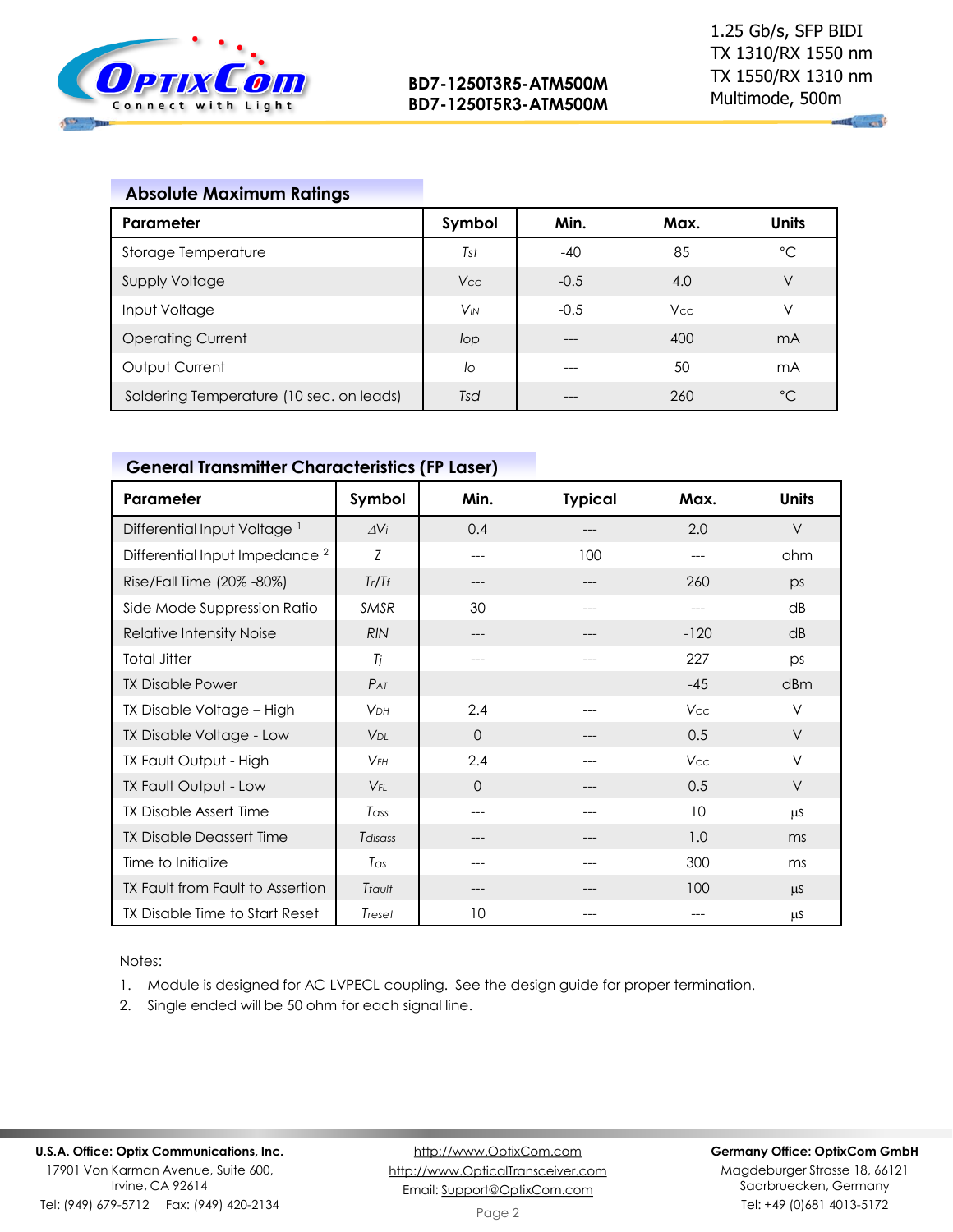

 $\sim$ 

# **Absolute Maximum Ratings**

| Parameter                                | Symbol   | Min.   | Max.       | <b>Units</b>   |
|------------------------------------------|----------|--------|------------|----------------|
| Storage Temperature                      | Tst      | $-40$  | 85         | $^{\circ}C$    |
| <b>Supply Voltage</b>                    | Vcc      | $-0.5$ | 4.0        | V              |
| Input Voltage                            | $V_{IN}$ | $-0.5$ | <b>Vcc</b> | ν              |
| <b>Operating Current</b>                 | lop      | ---    | 400        | mA             |
| Output Current                           | lo       | ---    | 50         | m <sub>A</sub> |
| Soldering Temperature (10 sec. on leads) | Tsd      |        | 260        | $^{\circ}C$    |

# **General Transmitter Characteristics (FP Laser)**

| Parameter                                 | Symbol                | Min.     | <b>Typical</b> | Max.   | <b>Units</b> |
|-------------------------------------------|-----------------------|----------|----------------|--------|--------------|
| Differential Input Voltage <sup>1</sup>   | $\Delta$ Vi           | 0.4      |                | 2.0    | $\vee$       |
| Differential Input Impedance <sup>2</sup> | Z                     | ---      | 100            | ---    | ohm          |
| Rise/Fall Time (20% -80%)                 | Tr/Tr                 | ---      |                | 260    | DS           |
| Side Mode Suppression Ratio               | <b>SMSR</b>           | 30       | ---            | ---    | dB           |
| Relative Intensity Noise                  | <b>RIN</b>            | ---      |                | $-120$ | dB           |
| <b>Total Jitter</b>                       | Ti                    | ---      |                | 227    | DS           |
| <b>TX Disable Power</b>                   | $P_{AT}$              |          |                | $-45$  | dBm          |
| TX Disable Voltage - High                 | <b>V<sub>DH</sub></b> | 2.4      |                | Vcc    | V            |
| TX Disable Voltage - Low                  | $V_{DI}$              | $\Omega$ |                | 0.5    | $\vee$       |
| TX Fault Output - High                    | $V$ FH                | 2.4      |                | Vcc    | $\vee$       |
| TX Fault Output - Low                     | $V_{FI}$              | $\Omega$ |                | 0.5    | V            |
| <b>TX Disable Assert Time</b>             | Tass                  | ---      |                | 10     | μS           |
| <b>TX Disable Deassert Time</b>           | Tdisass               | ---      | ---            | 1.0    | ms           |
| Time to Initialize                        | Tas                   | ---      | ---            | 300    | ms           |
| TX Fault from Fault to Assertion          | Tfault                | ---      |                | 100    | $\mu$ S      |
| TX Disable Time to Start Reset            | Treset                | 10       |                |        | μS           |

Notes:

- 1. Module is designed for AC LVPECL coupling. See the design guide for proper termination.
- 2. Single ended will be 50 ohm for each signal line.

### **Germany Office: OptixCom GmbH**

Magdeburger Strasse 18, 66121 Saarbruecken, Germany Tel: +49 (0)681 4013-5172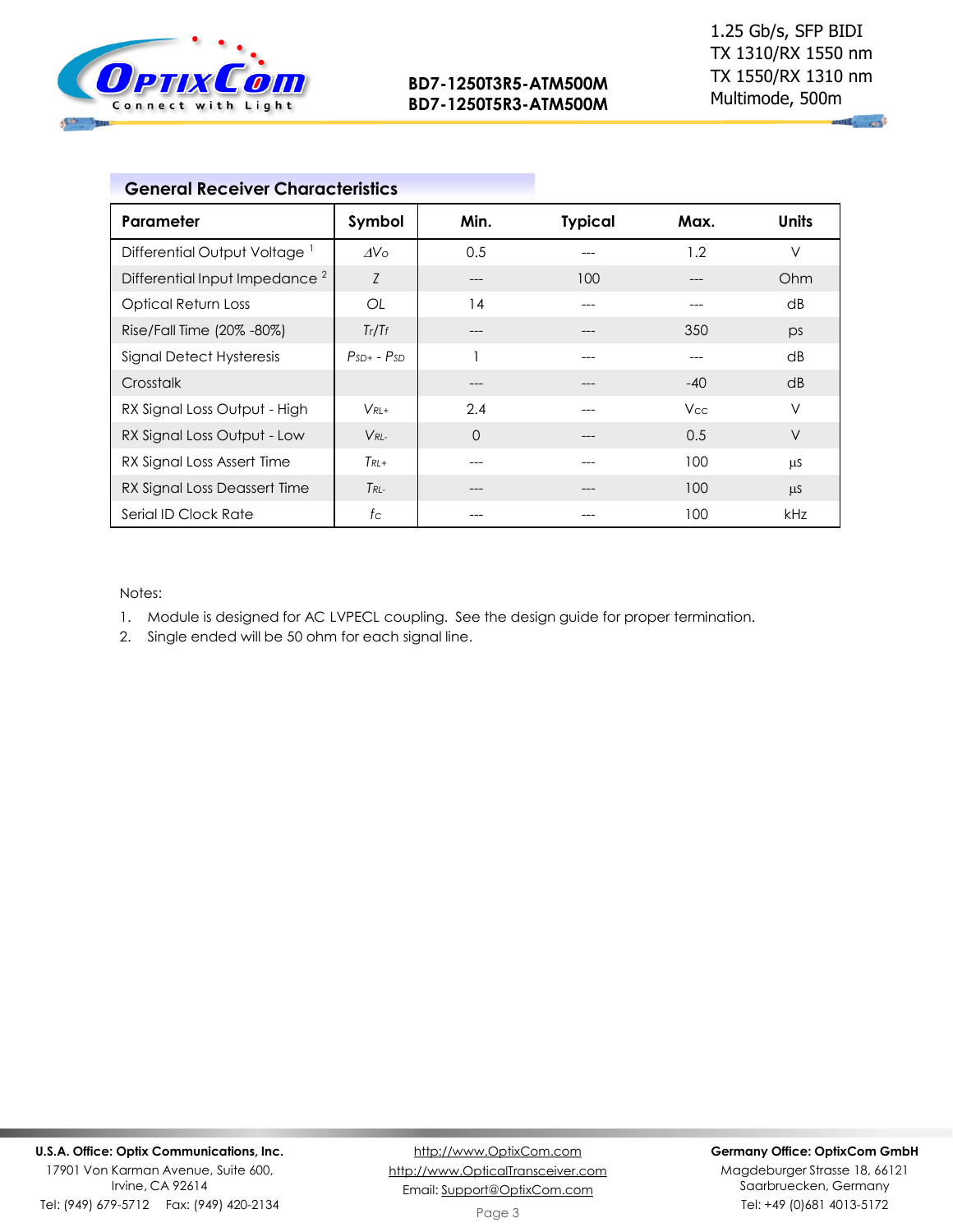

**All and** 

| Parameter                                 | Symbol          | Min.     | <b>Typical</b> | Max.       | Units   |
|-------------------------------------------|-----------------|----------|----------------|------------|---------|
| Differential Output Voltage <sup>1</sup>  | AV <sub>0</sub> | 0.5      | ---            | 1.2        | $\vee$  |
| Differential Input Impedance <sup>2</sup> | Z               | ---      | 100            | ---        | Ohm     |
| <b>Optical Return Loss</b>                | OL              | 14       | ---            | ---        | dB      |
| Rise/Fall Time (20% -80%)                 | Tr/Tr           | ---      |                | 350        | ps      |
| Signal Detect Hysteresis                  | $PSD + - PSD$   |          | ---            | ---        | dB      |
| Crosstalk                                 |                 | ---      |                | $-40$      | dB      |
| RX Signal Loss Output - High              | $V_{RI+}$       | 2.4      |                | <b>Vcc</b> | V       |
| RX Signal Loss Output - Low               | $V_{RI}$        | $\Omega$ | ---            | 0.5        | $\vee$  |
| RX Signal Loss Assert Time                | $T_{RL+}$       | ---      |                | 100        | μS      |
| RX Signal Loss Deassert Time              | $T_{RI}$        | ---      | $---$          | 100        | $\mu$ S |
| Serial ID Clock Rate                      | $f_{\rm C}$     | ---      | ---            | 100        | kHz     |

Notes:

- 1. Module is designed for AC LVPECL coupling. See the design guide for proper termination.
- 2. Single ended will be 50 ohm for each signal line.

### **Germany Office: OptixCom GmbH**

Magdeburger Strasse 18, 66121 Saarbruecken, Germany Tel: +49 (0)681 4013-5172